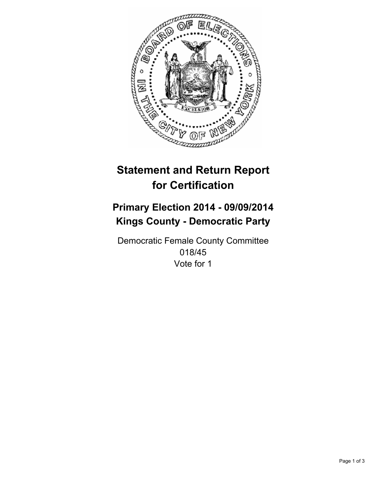

# **Statement and Return Report for Certification**

## **Primary Election 2014 - 09/09/2014 Kings County - Democratic Party**

Democratic Female County Committee 018/45 Vote for 1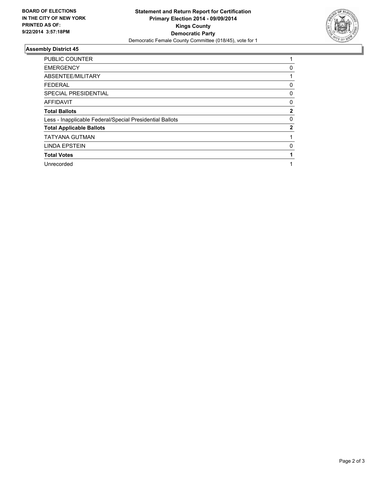

### **Assembly District 45**

| <b>PUBLIC COUNTER</b>                                    |              |
|----------------------------------------------------------|--------------|
| <b>EMERGENCY</b>                                         | 0            |
| ABSENTEE/MILITARY                                        |              |
| <b>FEDERAL</b>                                           | 0            |
| <b>SPECIAL PRESIDENTIAL</b>                              | 0            |
| <b>AFFIDAVIT</b>                                         | 0            |
| <b>Total Ballots</b>                                     | $\mathbf{2}$ |
| Less - Inapplicable Federal/Special Presidential Ballots | 0            |
| <b>Total Applicable Ballots</b>                          | $\mathbf{2}$ |
| <b>TATYANA GUTMAN</b>                                    |              |
| <b>LINDA EPSTEIN</b>                                     | 0            |
| <b>Total Votes</b>                                       |              |
| Unrecorded                                               |              |